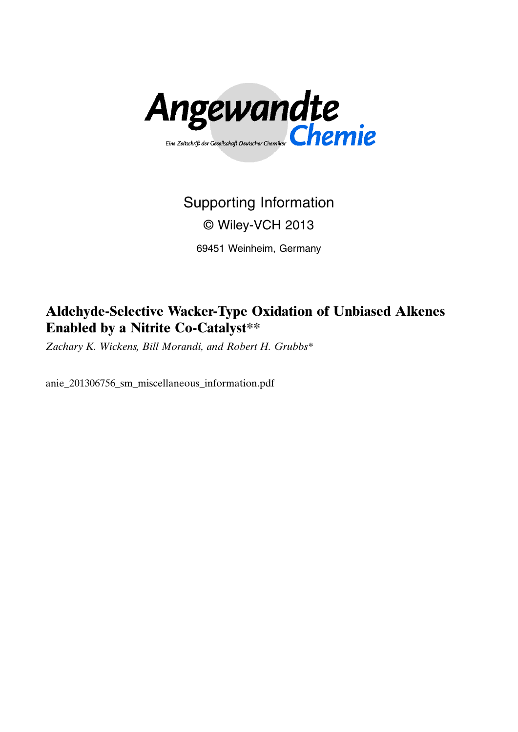

# Supporting Information © Wiley-VCH 2013

69451 Weinheim, Germany

## Aldehyde-Selective Wacker-Type Oxidation of Unbiased Alkenes Enabled by a Nitrite Co-Catalyst\*\*

Zachary K. Wickens, Bill Morandi, and Robert H. Grubbs\*

anie\_201306756\_sm\_miscellaneous\_information.pdf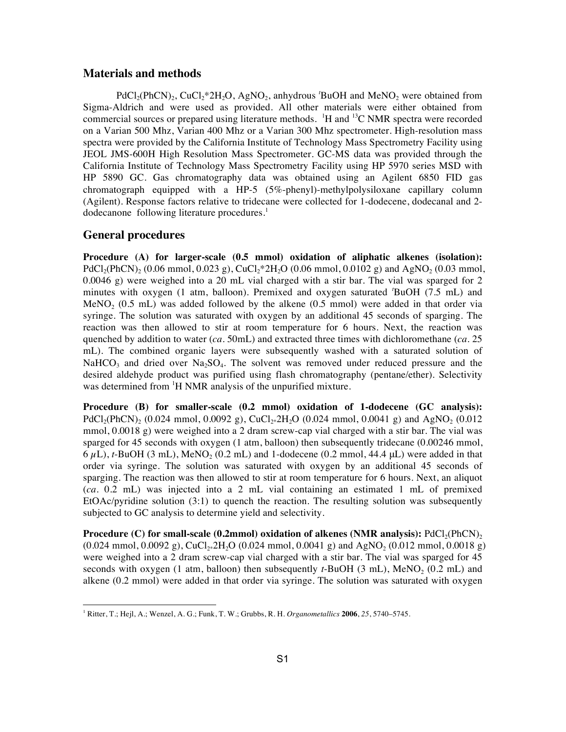## **Materials and methods**

PdCl<sub>2</sub>(PhCN)<sub>2</sub>, CuCl<sub>2</sub>\*2H<sub>2</sub>O, AgNO<sub>2</sub>, anhydrous 'BuOH and MeNO<sub>2</sub> were obtained from Sigma-Aldrich and were used as provided. All other materials were either obtained from commercial sources or prepared using literature methods.  $H$  and  $H^3C$  NMR spectra were recorded on a Varian 500 Mhz, Varian 400 Mhz or a Varian 300 Mhz spectrometer. High-resolution mass spectra were provided by the California Institute of Technology Mass Spectrometry Facility using JEOL JMS-600H High Resolution Mass Spectrometer. GC-MS data was provided through the California Institute of Technology Mass Spectrometry Facility using HP 5970 series MSD with HP 5890 GC. Gas chromatography data was obtained using an Agilent 6850 FID gas chromatograph equipped with a HP-5 (5%-phenyl)-methylpolysiloxane capillary column (Agilent). Response factors relative to tridecane were collected for 1-dodecene, dodecanal and 2 dodecanone following literature procedures.<sup>1</sup>

## **General procedures**

**Procedure (A) for larger-scale (0.5 mmol) oxidation of aliphatic alkenes (isolation):**  $PdCl_2(PhCN)_2$  (0.06 mmol, 0.023 g), CuCl<sub>2</sub>\*2H<sub>2</sub>O (0.06 mmol, 0.0102 g) and AgNO<sub>2</sub> (0.03 mmol, 0.0046 g) were weighed into a 20 mL vial charged with a stir bar. The vial was sparged for 2 minutes with oxygen (1 atm, balloon). Premixed and oxygen saturated *<sup>t</sup>* BuOH (7.5 mL) and MeNO<sub>2</sub> (0.5 mL) was added followed by the alkene (0.5 mmol) were added in that order via syringe. The solution was saturated with oxygen by an additional 45 seconds of sparging. The reaction was then allowed to stir at room temperature for 6 hours. Next, the reaction was quenched by addition to water (*ca*. 50mL) and extracted three times with dichloromethane (*ca*. 25 mL). The combined organic layers were subsequently washed with a saturated solution of NaHCO<sub>3</sub> and dried over Na<sub>2</sub>SO<sub>4</sub>. The solvent was removed under reduced pressure and the desired aldehyde product was purified using flash chromatography (pentane/ether). Selectivity was determined from <sup>1</sup>H NMR analysis of the unpurified mixture.

**Procedure (B) for smaller-scale (0.2 mmol) oxidation of 1-dodecene (GC analysis):** PdCl<sub>2</sub>(PhCN)<sub>2</sub> (0.024 mmol, 0.0092 g), CuCl<sub>2\*</sub>2H<sub>2</sub>O (0.024 mmol, 0.0041 g) and AgNO<sub>2</sub> (0.012 mmol, 0.0018 g) were weighed into a 2 dram screw-cap vial charged with a stir bar. The vial was sparged for 45 seconds with oxygen (1 atm, balloon) then subsequently tridecane (0.00246 mmol,  $6 \mu L$ ),  $t$ -BuOH (3 mL), MeNO<sub>2</sub> (0.2 mL) and 1-dodecene (0.2 mmol, 44.4  $\mu L$ ) were added in that order via syringe. The solution was saturated with oxygen by an additional 45 seconds of sparging. The reaction was then allowed to stir at room temperature for 6 hours. Next, an aliquot (*ca.* 0.2 mL) was injected into a 2 mL vial containing an estimated 1 mL of premixed EtOAc/pyridine solution  $(3:1)$  to quench the reaction. The resulting solution was subsequently subjected to GC analysis to determine yield and selectivity.

**Procedure (C) for small-scale (0.2mmol) oxidation of alkenes (NMR analysis):** PdCl<sub>2</sub>(PhCN)<sub>2</sub>  $(0.024 \text{ mmol}, 0.0092 \text{ g})$ , CuCl<sub>2\*</sub>2H<sub>2</sub>O  $(0.024 \text{ mmol}, 0.0041 \text{ g})$  and AgNO<sub>2</sub>  $(0.012 \text{ mmol}, 0.0018 \text{ g})$ were weighed into a 2 dram screw-cap vial charged with a stir bar. The vial was sparged for 45 seconds with oxygen (1 atm, balloon) then subsequently  $t$ -BuOH (3 mL), MeNO<sub>2</sub> (0.2 mL) and alkene (0.2 mmol) were added in that order via syringe. The solution was saturated with oxygen

<sup>1</sup> Ritter, T.; Hejl, A.; Wenzel, A. G.; Funk, T. W.; Grubbs, R. H. *Organometallics* **2006**, *25*, 5740–5745.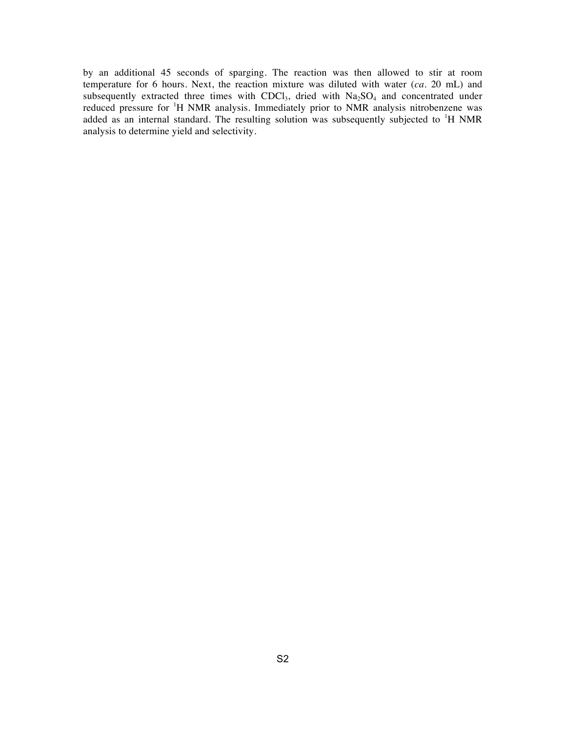by an additional 45 seconds of sparging. The reaction was then allowed to stir at room temperature for 6 hours. Next, the reaction mixture was diluted with water (*ca.* 20 mL) and subsequently extracted three times with  $CDCl<sub>3</sub>$ , dried with  $Na<sub>2</sub>SO<sub>4</sub>$  and concentrated under reduced pressure for <sup>1</sup>H NMR analysis. Immediately prior to NMR analysis nitrobenzene was added as an internal standard. The resulting solution was subsequently subjected to <sup>1</sup>H NMR analysis to determine yield and selectivity.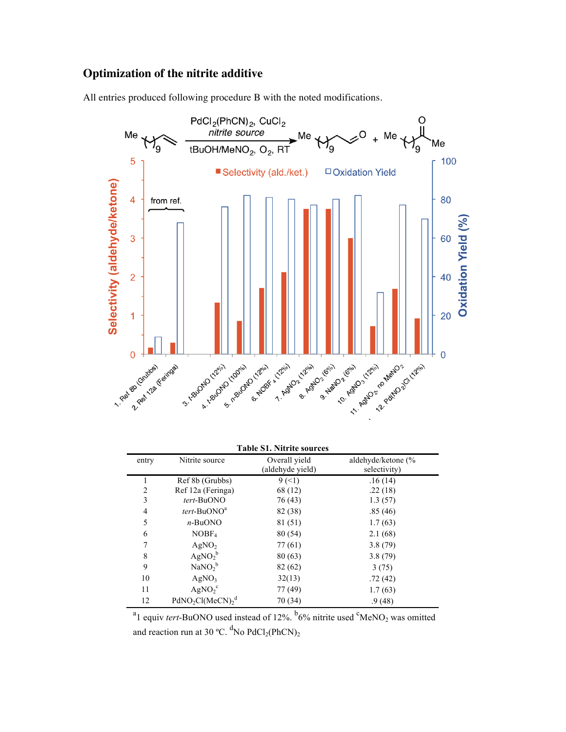## **Optimization of the nitrite additive**

All entries produced following procedure B with the noted modifications.



| <b>Table S1. Nitrite sources</b> |                                |                                   |                                    |  |
|----------------------------------|--------------------------------|-----------------------------------|------------------------------------|--|
| entry                            | Nitrite source                 | Overall yield<br>(aldehyde yield) | aldehyde/ketone (%<br>selectivity) |  |
|                                  | Ref 8b (Grubbs)                | $9(-1)$                           | .16(14)                            |  |
| 2                                | Ref 12a (Feringa)              | 68 (12)                           | .22(18)                            |  |
| 3                                | tert-BuONO                     | 76 (43)                           | 1.3(57)                            |  |
| 4                                | tert-BuONO <sup>a</sup>        | 82 (38)                           | .85(46)                            |  |
| 5                                | $n$ -BuONO                     | 81 (51)                           | 1.7(63)                            |  |
| 6                                | NOBF <sub>4</sub>              | 80 (54)                           | 2.1(68)                            |  |
|                                  | AgNO <sub>2</sub>              | 77 (61)                           | 3.8(79)                            |  |
| 8                                | AgNO <sub>2</sub> <sup>b</sup> | 80(63)                            | 3.8(79)                            |  |
| 9                                | $\text{NaNO}_2^{\text{b}}$     | 82 (62)                           | 3(75)                              |  |
| 10                               | AgNO <sub>3</sub>              | 32(13)                            | .72(42)                            |  |
| 11                               | AgNO <sub>2</sub> <sup>c</sup> | 77 (49)                           | 1.7(63)                            |  |
| 12                               | $PdNO2Cl(MeCN)2d$              | 70 (34)                           | .9(48)                             |  |

<sup>e</sup> a 1 equiv *tert*-BuONO used instead of 12%. <sup>b</sup>6% nitrite used <sup>c</sup>MeNO<sub>2</sub> was omitted and reaction run at 30 °C.  ${}^{d}$ No PdCl<sub>2</sub>(PhCN)<sub>2</sub>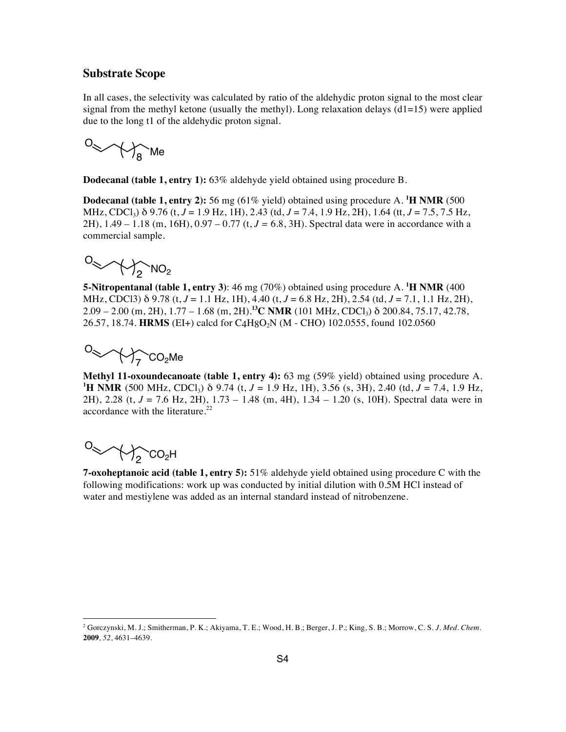## **Substrate Scope**

In all cases, the selectivity was calculated by ratio of the aldehydic proton signal to the most clear signal from the methyl ketone (usually the methyl). Long relaxation delays  $(d1=15)$  were applied due to the long t1 of the aldehydic proton signal.

O Me <sup>8</sup>

**Dodecanal (table 1, entry 1):** 63% aldehyde yield obtained using procedure B.

**Dodecanal (table 1, entry 2):** 56 mg (61% yield) obtained using procedure A. <sup>1</sup>H NMR (500 MHz, CDCl3) δ 9.76 (t, *J* = 1.9 Hz, 1H), 2.43 (td, *J* = 7.4, 1.9 Hz, 2H), 1.64 (tt, *J* = 7.5, 7.5 Hz, 2H), 1.49 – 1.18 (m, 16H), 0.97 – 0.77 (t, *J =* 6.8, 3H). Spectral data were in accordance with a commercial sample.

$$
O_{\text{max}}\text{-}\text{max}_{2}\text{-}\text{min}_{2}
$$

**5-Nitropentanal (table 1, entry 3):** 46 mg (70%) obtained using procedure A. <sup>1</sup>H NMR (400 MHz, CDCl3) δ 9.78 (t, *J* = 1.1 Hz, 1H), 4.40 (t, *J* = 6.8 Hz, 2H), 2.54 (td, *J* = 7.1, 1.1 Hz, 2H),  $2.09 - 2.00$  (m, 2H),  $1.77 - 1.68$  (m, 2H).<sup>13</sup>C NMR (101 MHz, CDCl<sub>3</sub>)  $\delta$  200.84, 75.17, 42.78, 26.57, 18.74. **HRMS** (EI+) calcd for C4H8O2N (M - CHO) 102.0555, found 102.0560

$$
O_{\text{max}} \times \text{max}_{7} CO_{2} \text{Me}
$$

**Methyl 11-oxoundecanoate (table 1, entry 4):** 63 mg (59% yield) obtained using procedure A. **1 H NMR** (500 MHz, CDCl3) δ 9.74 (t, *J* = 1.9 Hz, 1H), 3.56 (s, 3H), 2.40 (td, *J* = 7.4, 1.9 Hz, 2H), 2.28 (t, *J* = 7.6 Hz, 2H), 1.73 – 1.48 (m, 4H), 1.34 – 1.20 (s, 10H). Spectral data were in accordance with the literature.<sup>22</sup>

$$
O_{\text{max}}\text{max}_{2}\text{cos}_{2}\text{H}
$$

 $\overline{a}$ 

**7-oxoheptanoic acid (table 1, entry 5):** 51% aldehyde yield obtained using procedure C with the following modifications: work up was conducted by initial dilution with 0.5M HCl instead of water and mestiylene was added as an internal standard instead of nitrobenzene.

<sup>2</sup> Gorczynski, M. J.; Smitherman, P. K.; Akiyama, T. E.; Wood, H. B.; Berger, J. P.; King, S. B.; Morrow, C. S. *J. Med. Chem.* **2009**, *52*, 4631–4639.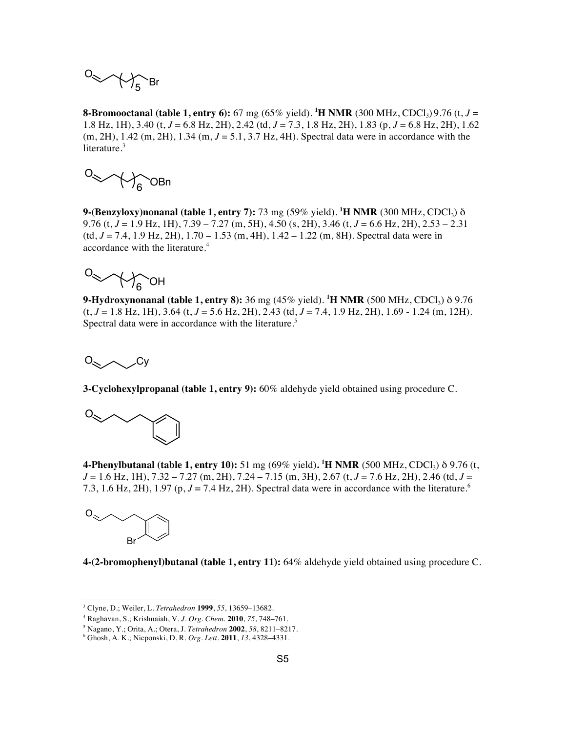$$
0 \ll \text{M}_5\text{Br}
$$

**8-Bromooctanal (table 1, entry 6):** 67 mg (65% yield). <sup>1</sup>**H NMR** (300 MHz, CDCl<sub>3</sub>) 9.76 (t, *J* = 1.8 Hz, 1H), 3.40 (t, *J* = 6.8 Hz, 2H), 2.42 (td, *J* = 7.3, 1.8 Hz, 2H), 1.83 (p, *J* = 6.8 Hz, 2H), 1.62 (m, 2H), 1.42 (m, 2H), 1.34 (m, *J* = 5.1, 3.7 Hz, 4H). Spectral data were in accordance with the literature.<sup>3</sup>

O OBn <sup>6</sup>

**9-(Benzyloxy)nonanal (table 1, entry 7):** 73 mg (59% yield). **<sup>1</sup> H NMR** (300 MHz, CDCl3) δ 9.76 (t, *J* = 1.9 Hz, 1H), 7.39 – 7.27 (m, 5H), 4.50 (s, 2H), 3.46 (t, *J* = 6.6 Hz, 2H), 2.53 – 2.31 (td, *J* = 7.4, 1.9 Hz, 2H), 1.70 – 1.53 (m, 4H), 1.42 – 1.22 (m, 8H). Spectral data were in accordance with the literature. 4

O OH <sup>6</sup>

**9-Hydroxynonanal (table 1, entry 8):** 36 mg (45% yield). **<sup>1</sup> H NMR** (500 MHz, CDCl3) δ 9.76 (t, *J* = 1.8 Hz, 1H), 3.64 (t, *J* = 5.6 Hz, 2H), 2.43 (td, *J* = 7.4, 1.9 Hz, 2H), 1.69 - 1.24 (m, 12H). Spectral data were in accordance with the literature.<sup>5</sup>

O Cy

**3-Cyclohexylpropanal (table 1, entry 9):** 60% aldehyde yield obtained using procedure C.



**4-Phenylbutanal (table 1, entry 10):** 51 mg (69% yield). <sup>1</sup>**H NMR** (500 MHz, CDCl<sub>3</sub>) δ 9.76 (t, *J* = 1.6 Hz, 1H), 7.32 – 7.27 (m, 2H), 7.24 – 7.15 (m, 3H), 2.67 (t, *J* = 7.6 Hz, 2H), 2.46 (td, *J* = 7.3, 1.6 Hz, 2H), 1.97 (p,  $J = 7.4$  Hz, 2H). Spectral data were in accordance with the literature.<sup>6</sup>



**4-(2-bromophenyl)butanal (table 1, entry 11):** 64% aldehyde yield obtained using procedure C.

<sup>3</sup> Clyne, D.; Weiler, L. *Tetrahedron* **1999**, *55*, 13659–13682.

<sup>4</sup> Raghavan, S.; Krishnaiah, V. *J. Org. Chem.* **2010**, *75*, 748–761.

<sup>5</sup> Nagano, Y.; Orita, A.; Otera, J. *Tetrahedron* **2002**, *58*, 8211–8217.

<sup>6</sup> Ghosh, A. K.; Nicponski, D. R. *Org. Lett.* **2011**, *13*, 4328–4331.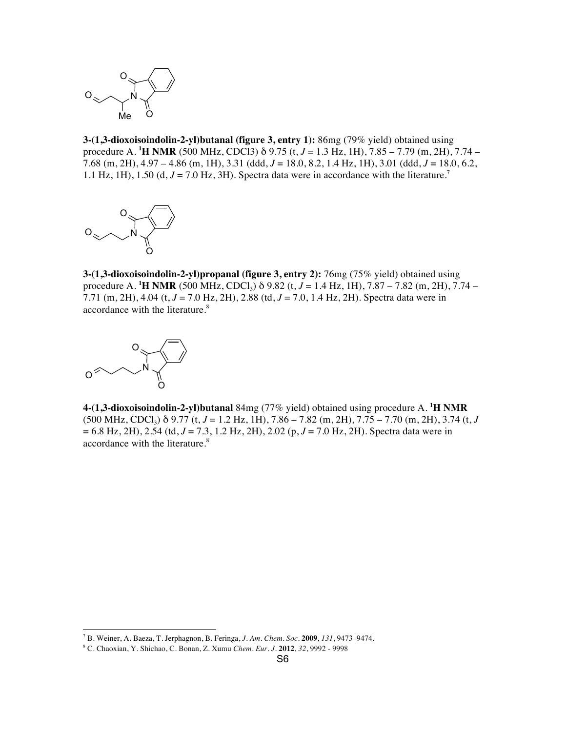

**3-(1,3-dioxoisoindolin-2-yl)butanal (figure 3, entry 1):** 86mg (79% yield) obtained using procedure A. **<sup>1</sup> H NMR** (500 MHz, CDCl3) δ 9.75 (t, *J* = 1.3 Hz, 1H), 7.85 – 7.79 (m, 2H), 7.74 – 7.68 (m, 2H), 4.97 – 4.86 (m, 1H), 3.31 (ddd, *J* = 18.0, 8.2, 1.4 Hz, 1H), 3.01 (ddd, *J* = 18.0, 6.2, 1.1 Hz, 1H), 1.50 (d,  $J = 7.0$  Hz, 3H). Spectra data were in accordance with the literature.<sup>7</sup>



**3-(1,3-dioxoisoindolin-2-yl)propanal (figure 3, entry 2):** 76mg (75% yield) obtained using procedure A. **<sup>1</sup> H NMR** (500 MHz, CDCl3) δ 9.82 (t, *J* = 1.4 Hz, 1H), 7.87 – 7.82 (m, 2H), 7.74 – 7.71 (m, 2H), 4.04 (t, *J* = 7.0 Hz, 2H), 2.88 (td, *J* = 7.0, 1.4 Hz, 2H). Spectra data were in accordance with the literature.<sup>8</sup>



**4-(1,3-dioxoisoindolin-2-yl)butanal** 84mg (77% yield) obtained using procedure A. **<sup>1</sup> H NMR**  $(500 \text{ MHz}, \text{CDCl}_3)$   $\delta$  9.77 (t, *J* = 1.2 Hz, 1H), 7.86 – 7.82 (m, 2H), 7.75 – 7.70 (m, 2H), 3.74 (t, *J* = 6.8 Hz, 2H), 2.54 (td, *J* = 7.3, 1.2 Hz, 2H), 2.02 (p, *J* = 7.0 Hz, 2H). Spectra data were in accordance with the literature.<sup>8</sup>

<sup>7</sup> B. Weiner, A. Baeza, T. Jerphagnon, B. Feringa, *J. Am. Chem. Soc.* **2009**, *131*, 9473–9474.

<sup>8</sup> C. Chaoxian, Y. Shichao, C. Bonan, Z. Xumu *Chem. Eur. J.* **2012**, *32*, 9992 - 9998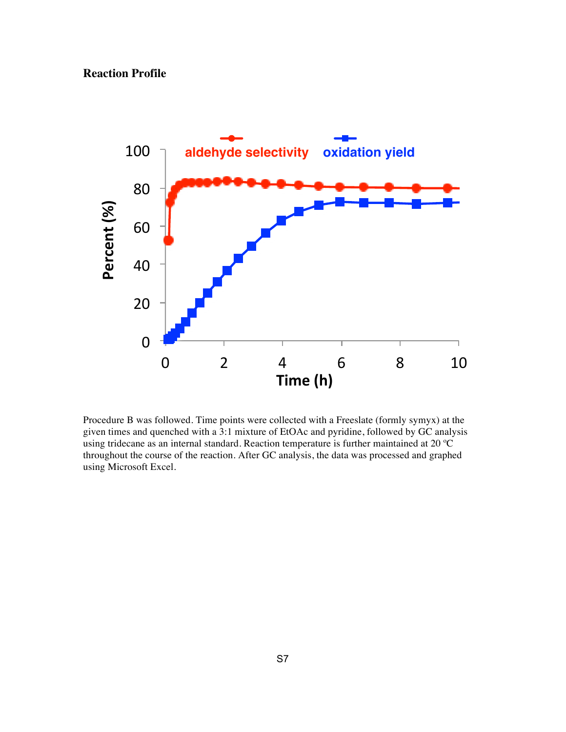## **Reaction Profile**



Procedure B was followed. Time points were collected with a Freeslate (formly symyx) at the given times and quenched with a 3:1 mixture of EtOAc and pyridine, followed by GC analysis using tridecane as an internal standard. Reaction temperature is further maintained at 20 ºC throughout the course of the reaction. After GC analysis, the data was processed and graphed using Microsoft Excel.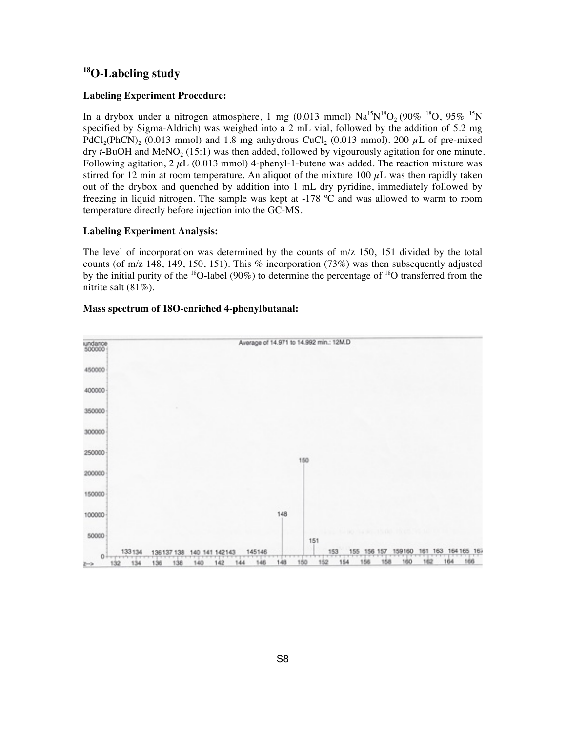## **18O-Labeling study**

### **Labeling Experiment Procedure:**

In a drybox under a nitrogen atmosphere, 1 mg (0.013 mmol)  $Na^{15}N^{18}O_2(90\%$  <sup>18</sup>O, 95% <sup>15</sup>N specified by Sigma-Aldrich) was weighed into a 2 mL vial, followed by the addition of 5.2 mg PdCl<sub>2</sub>(PhCN)<sub>2</sub> (0.013 mmol) and 1.8 mg anhydrous CuCl<sub>2</sub> (0.013 mmol). 200  $\mu$ L of pre-mixed dry  $t$ -BuOH and MeNO<sub>2</sub> (15:1) was then added, followed by vigourously agitation for one minute. Following agitation,  $2 \mu L$  (0.013 mmol) 4-phenyl-1-butene was added. The reaction mixture was stirred for 12 min at room temperature. An aliquot of the mixture 100  $\mu$ L was then rapidly taken out of the drybox and quenched by addition into 1 mL dry pyridine, immediately followed by freezing in liquid nitrogen. The sample was kept at -178 ºC and was allowed to warm to room temperature directly before injection into the GC-MS.

### **Labeling Experiment Analysis:**

The level of incorporation was determined by the counts of m/z 150, 151 divided by the total counts (of m/z 148, 149, 150, 151). This % incorporation (73%) was then subsequently adjusted by the initial purity of the <sup>18</sup>O-label (90%) to determine the percentage of <sup>18</sup>O transferred from the nitrite salt (81%).



#### **Mass spectrum of 18O-enriched 4-phenylbutanal:**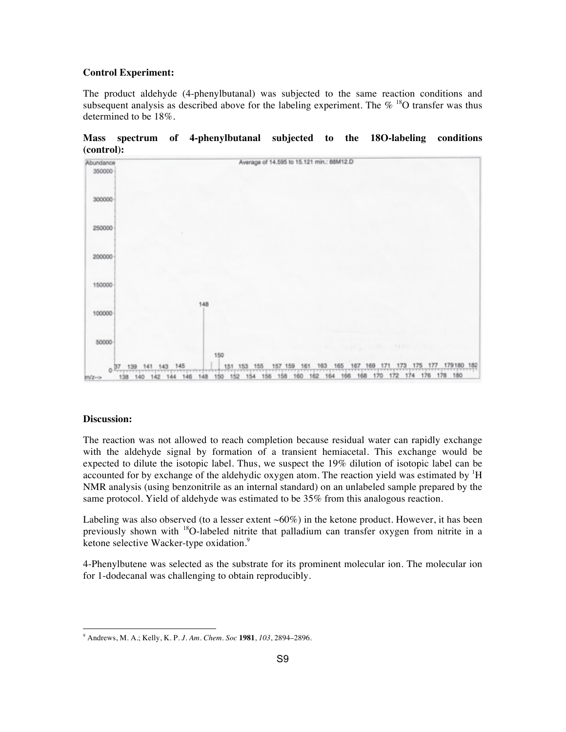#### **Control Experiment:**

The product aldehyde (4-phenylbutanal) was subjected to the same reaction conditions and subsequent analysis as described above for the labeling experiment. The  $\%$  <sup>18</sup>O transfer was thus determined to be 18%.



**Mass spectrum of 4-phenylbutanal subjected to the 18O-labeling conditions (control):**

#### **Discussion:**

 $\overline{a}$ 

The reaction was not allowed to reach completion because residual water can rapidly exchange with the aldehyde signal by formation of a transient hemiacetal. This exchange would be expected to dilute the isotopic label. Thus, we suspect the 19% dilution of isotopic label can be accounted for by exchange of the aldehydic oxygen atom. The reaction yield was estimated by  ${}^{1}H$ NMR analysis (using benzonitrile as an internal standard) on an unlabeled sample prepared by the same protocol. Yield of aldehyde was estimated to be 35% from this analogous reaction.

Labeling was also observed (to a lesser extent  $\sim 60\%$ ) in the ketone product. However, it has been previously shown with <sup>18</sup>O-labeled nitrite that palladium can transfer oxygen from nitrite in a ketone selective Wacker-type oxidation.<sup>9</sup>

4-Phenylbutene was selected as the substrate for its prominent molecular ion. The molecular ion for 1-dodecanal was challenging to obtain reproducibly.

<sup>9</sup> Andrews, M. A.; Kelly, K. P. *J. Am. Chem. Soc* **1981**, *103*, 2894–2896.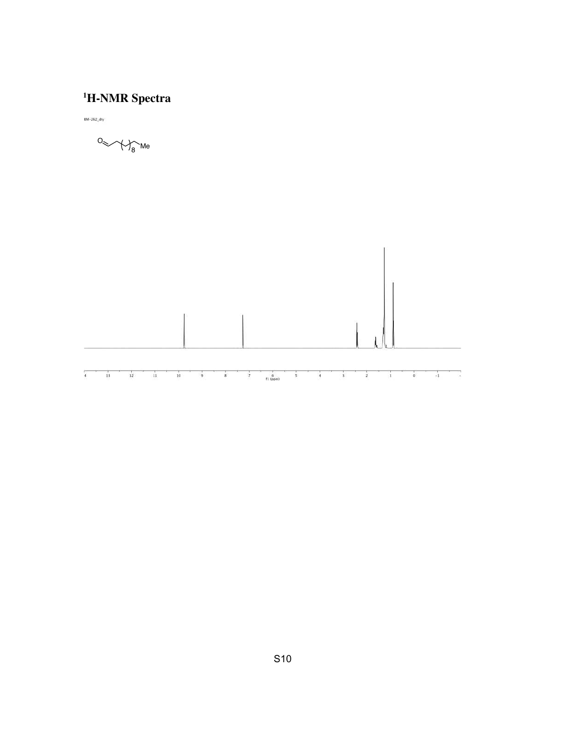## **1 H-NMR Spectra**

 $BM-262$  dry

O Me <sup>8</sup>

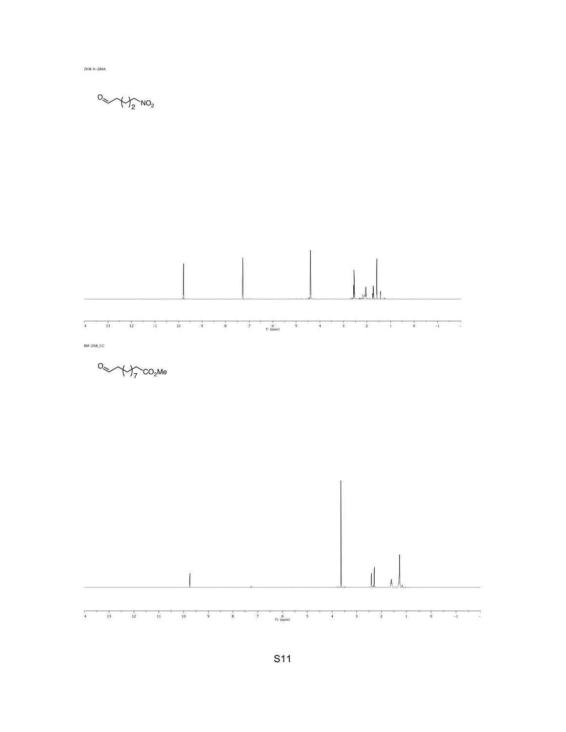ZKW-II-284A

$$
O_{\text{max}}\text{-}\text{max}_{2}\text{-}\text{max}_{2}
$$



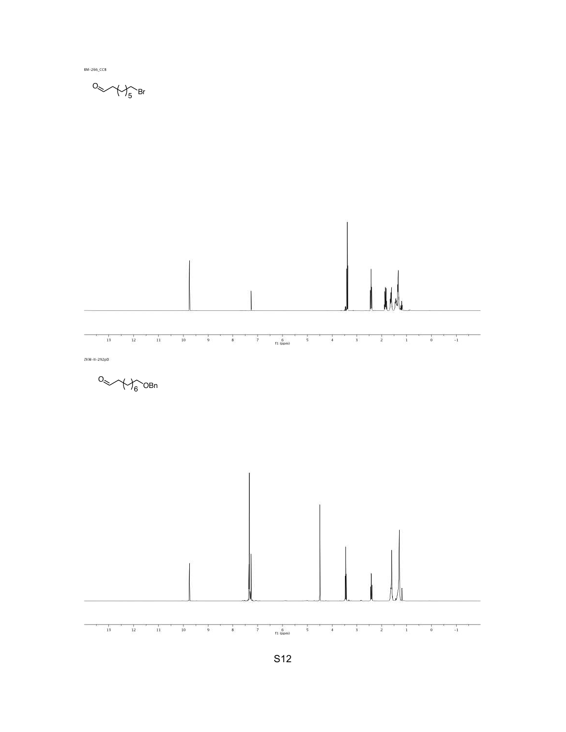

BM-266\_CCB

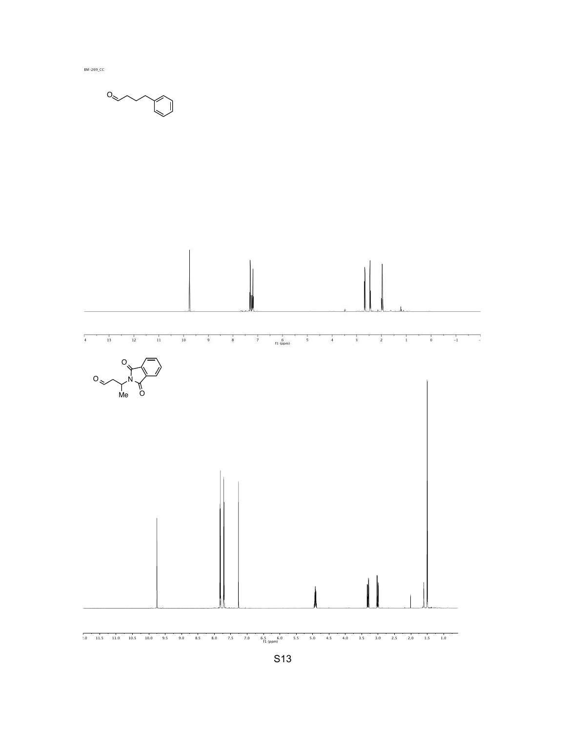